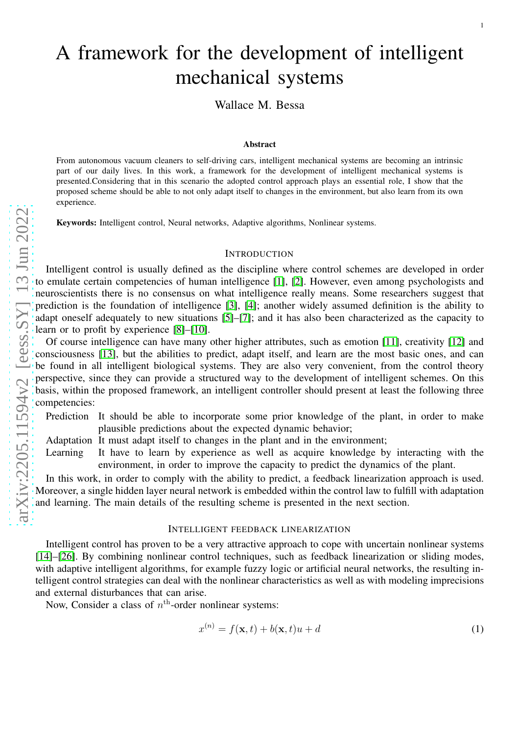# A framework for the development of intelligent mechanical systems

Wallace M. Bessa

#### Abstract

From autonomous vacuum cleaners to self-driving cars, intelligent mechanical systems are becoming an intrinsic part of our daily lives. In this work, a framework for the development of intelligent mechanical systems is presented.Considering that in this scenario the adopted control approach plays an essential role, I show that the proposed scheme should be able to not only adapt itself to changes in the environment, but also learn from its own experience.

Keywords: Intelligent control, Neural networks, Adaptive algorithms, Nonlinear systems.

## **INTRODUCTION**

Intelligent control is usually defined as the discipline where control schemes are developed in order to emulate certain competencies of human intelligence [\[1\]](#page-2-0), [\[2\]](#page-2-1). However, even among psychologists and neuroscientists there is no consensus on what intelligence really means. Some researchers suggest that prediction is the foundation of intelligence [\[3\]](#page-2-2), [\[4\]](#page-2-3); another widely assumed definition is the ability to adapt oneself adequately to new situations [\[5\]](#page-2-4)–[\[7\]](#page-2-5); and it has also been characterized as the capacity to learn or to profit by experience [\[8\]](#page-2-6)–[\[10\]](#page-2-7).

Of course intelligence can have many other higher attributes, such as emotion [\[11\]](#page-2-8), creativity [\[12\]](#page-2-9) and consciousness [\[13\]](#page-2-10), but the abilities to predict, adapt itself, and learn are the most basic ones, and can be found in all intelligent biological systems. They are also very convenient, from the control theory perspective, since they can provide a structured way to the development of intelligent schemes. On this basis, within the proposed framework, an intelligent controller should present at least the following three competencies:

Prediction It should be able to incorporate some prior knowledge of the plant, in order to make plausible predictions about the expected dynamic behavior;

Adaptation It must adapt itself to changes in the plant and in the environment;

Learning It have to learn by experience as well as acquire knowledge by interacting with the environment, in order to improve the capacity to predict the dynamics of the plant.

In this work, in order to comply with the ability to predict, a feedback linearization approach is used. Moreover, a single hidden layer neural network is embedded within the control law to fulfill with adaptation and learning. The main details of the resulting scheme is presented in the next section.

### INTELLIGENT FEEDBACK LINEARIZATION

Intelligent control has proven to be a very attractive approach to cope with uncertain nonlinear systems [\[14\]](#page-2-11)–[\[26\]](#page-3-0). By combining nonlinear control techniques, such as feedback linearization or sliding modes, with adaptive intelligent algorithms, for example fuzzy logic or artificial neural networks, the resulting intelligent control strategies can deal with the nonlinear characteristics as well as with modeling imprecisions and external disturbances that can arise.

Now, Consider a class of  $n<sup>th</sup>$ -order nonlinear systems:

<span id="page-0-0"></span>
$$
x^{(n)} = f(\mathbf{x}, t) + b(\mathbf{x}, t)u + d
$$
 (1)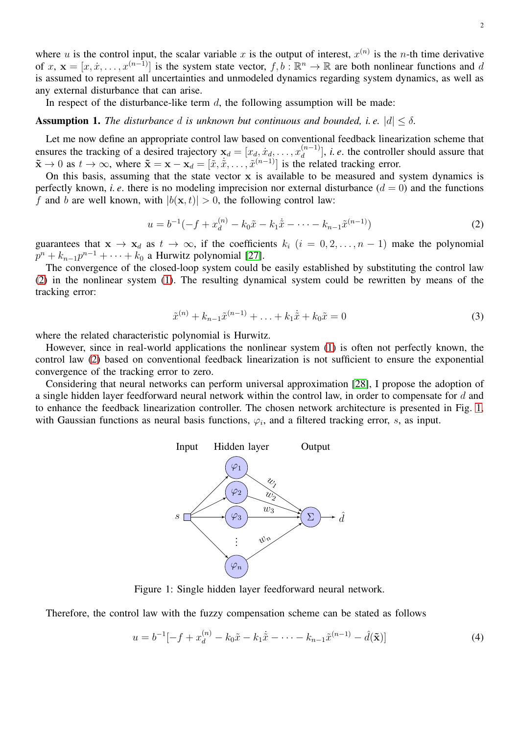where u is the control input, the scalar variable x is the output of interest,  $x^{(n)}$  is the n-th time derivative of  $x, \mathbf{x} = [x, \dot{x}, \dots, x^{(n-1)}]$  is the system state vector,  $f, b : \mathbb{R}^n \to \mathbb{R}$  are both nonlinear functions and d is assumed to represent all uncertainties and unmodeled dynamics regarding system dynamics, as well as any external disturbance that can arise.

In respect of the disturbance-like term  $d$ , the following assumption will be made:

## **Assumption 1.** *The disturbance* d *is unknown but continuous and bounded, i.e.*  $|d| \leq \delta$ *.*

Let me now define an appropriate control law based on conventional feedback linearization scheme that ensures the tracking of a desired trajectory  $x_d = [x_d, \dot{x}_d, \dots, x_d^{(n-1)}]$ , *i.e.* the controller should assure that  $\tilde{\mathbf{x}} \to 0$  as  $t \to \infty$ , where  $\tilde{\mathbf{x}} = \mathbf{x} - \mathbf{x}_d = [\tilde{x}, \dot{\tilde{x}}, \dots, \tilde{x}^{(n-1)}]$  is the related tracking error.

On this basis, assuming that the state vector x is available to be measured and system dynamics is perfectly known, *i. e.* there is no modeling imprecision nor external disturbance  $(d = 0)$  and the functions f and b are well known, with  $|b(\mathbf{x}, t)| > 0$ , the following control law:

<span id="page-1-0"></span>
$$
u = b^{-1}(-f + x_d^{(n)} - k_0 \tilde{x} - k_1 \dot{\tilde{x}} - \dots - k_{n-1} \tilde{x}^{(n-1)})
$$
\n(2)

guarantees that  $x \to x_d$  as  $t \to \infty$ , if the coefficients  $k_i$   $(i = 0, 2, ..., n - 1)$  make the polynomial  $p^{n} + k_{n-1}p^{n-1} + \cdots + k_0$  a Hurwitz polynomial [\[27\]](#page-3-1).

The convergence of the closed-loop system could be easily established by substituting the control law [\(2\)](#page-1-0) in the nonlinear system [\(1\)](#page-0-0). The resulting dynamical system could be rewritten by means of the tracking error:

$$
\tilde{x}^{(n)} + k_{n-1}\tilde{x}^{(n-1)} + \ldots + k_1\dot{\tilde{x}} + k_0\tilde{x} = 0
$$
\n(3)

where the related characteristic polynomial is Hurwitz.

However, since in real-world applications the nonlinear system [\(1\)](#page-0-0) is often not perfectly known, the control law [\(2\)](#page-1-0) based on conventional feedback linearization is not sufficient to ensure the exponential convergence of the tracking error to zero.

<span id="page-1-1"></span>Considering that neural networks can perform universal approximation [\[28\]](#page-3-2), I propose the adoption of a single hidden layer feedforward neural network within the control law, in order to compensate for d and to enhance the feedback linearization controller. The chosen network architecture is presented in Fig. [1,](#page-1-1) with Gaussian functions as neural basis functions,  $\varphi_i$ , and a filtered tracking error, s, as input.



Figure 1: Single hidden layer feedforward neural network.

Therefore, the control law with the fuzzy compensation scheme can be stated as follows

$$
u = b^{-1}[-f + x_d^{(n)} - k_0 \tilde{x} - k_1 \dot{\tilde{x}} - \dots - k_{n-1} \tilde{x}^{(n-1)} - \hat{d}(\tilde{\mathbf{x}})]
$$
(4)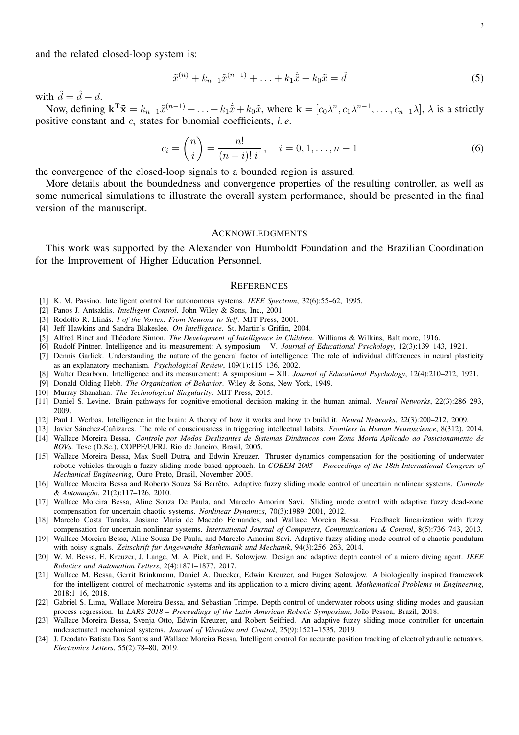and the related closed-loop system is:

$$
\tilde{x}^{(n)} + k_{n-1}\tilde{x}^{(n-1)} + \ldots + k_1\dot{\tilde{x}} + k_0\tilde{x} = \tilde{d}
$$
\n(5)

with  $\tilde{d} = \hat{d} - d$ .

Now, defining  $\mathbf{k}^T \tilde{\mathbf{x}} = k_{n-1} \tilde{x}^{(n-1)} + \ldots + k_1 \dot{\tilde{x}} + k_0 \tilde{x}$ , where  $\mathbf{k} = [c_0 \lambda^n, c_1 \lambda^{n-1}, \ldots, c_{n-1} \lambda], \lambda$  is a strictly positive constant and  $c_i$  states for binomial coefficients, *i.e.* 

$$
c_i = \binom{n}{i} = \frac{n!}{(n-i)! \, i!}, \quad i = 0, 1, \dots, n-1 \tag{6}
$$

the convergence of the closed-loop signals to a bounded region is assured.

More details about the boundedness and convergence properties of the resulting controller, as well as some numerical simulations to illustrate the overall system performance, should be presented in the final version of the manuscript.

## ACKNOWLEDGMENTS

This work was supported by the Alexander von Humboldt Foundation and the Brazilian Coordination for the Improvement of Higher Education Personnel.

#### **REFERENCES**

- <span id="page-2-1"></span><span id="page-2-0"></span>[1] K. M. Passino. Intelligent control for autonomous systems. *IEEE Spectrum*, 32(6):55–62, 1995.
- <span id="page-2-2"></span>[2] Panos J. Antsaklis. *Intelligent Control*. John Wiley & Sons, Inc., 2001.
- <span id="page-2-3"></span>[3] Rodolfo R. Llinás. *I of the Vortex: From Neurons to Self*. MIT Press, 2001.
- <span id="page-2-4"></span>[4] Jeff Hawkins and Sandra Blakeslee. *On Intelligence*. St. Martin's Griffin, 2004.
- [5] Alfred Binet and Théodore Simon. *The Development of Intelligence in Children*. Williams & Wilkins, Baltimore, 1916.
- <span id="page-2-5"></span>[6] Rudolf Pintner. Intelligence and its measurement: A symposium – V. *Journal of Educational Psychology*, 12(3):139–143, 1921.
- [7] Dennis Garlick. Understanding the nature of the general factor of intelligence: The role of individual differences in neural plasticity as an explanatory mechanism. *Psychological Review*, 109(1):116–136, 2002.
- <span id="page-2-6"></span>[8] Walter Dearborn. Intelligence and its measurement: A symposium – XII. *Journal of Educational Psychology*, 12(4):210–212, 1921.
- <span id="page-2-7"></span>[9] Donald Olding Hebb. *The Organization of Behavior*. Wiley & Sons, New York, 1949.
- <span id="page-2-8"></span>[10] Murray Shanahan. *The Technological Singularity*. MIT Press, 2015.
- [11] Daniel S. Levine. Brain pathways for cognitive-emotional decision making in the human animal. *Neural Networks*, 22(3):286–293, 2009.
- <span id="page-2-10"></span><span id="page-2-9"></span>[12] Paul J. Werbos. Intelligence in the brain: A theory of how it works and how to build it. *Neural Networks*, 22(3):200–212, 2009.
- <span id="page-2-11"></span>[13] Javier Sánchez-Cañizares. The role of consciousness in triggering intellectual habits. *Frontiers in Human Neuroscience*, 8(312), 2014.
- [14] Wallace Moreira Bessa. *Controle por Modos Deslizantes de Sistemas Dinâmicos com Zona Morta Aplicado ao Posicionamento de ROVs*. Tese (D.Sc.), COPPE/UFRJ, Rio de Janeiro, Brasil, 2005.
- [15] Wallace Moreira Bessa, Max Suell Dutra, and Edwin Kreuzer. Thruster dynamics compensation for the positioning of underwater robotic vehicles through a fuzzy sliding mode based approach. In *COBEM 2005 – Proceedings of the 18th International Congress of Mechanical Engineering*, Ouro Preto, Brasil, November 2005.
- [16] Wallace Moreira Bessa and Roberto Souza Sá Barrêto. Adaptive fuzzy sliding mode control of uncertain nonlinear systems. *Controle & Automação*, 21(2):117–126, 2010.
- [17] Wallace Moreira Bessa, Aline Souza De Paula, and Marcelo Amorim Savi. Sliding mode control with adaptive fuzzy dead-zone compensation for uncertain chaotic systems. *Nonlinear Dynamics*, 70(3):1989–2001, 2012.
- [18] Marcelo Costa Tanaka, Josiane Maria de Macedo Fernandes, and Wallace Moreira Bessa. Feedback linearization with fuzzy compensation for uncertain nonlinear systems. *International Journal of Computers, Communications & Control*, 8(5):736–743, 2013.
- [19] Wallace Moreira Bessa, Aline Souza De Paula, and Marcelo Amorim Savi. Adaptive fuzzy sliding mode control of a chaotic pendulum with noisy signals. *Zeitschrift fur Angewandte Mathematik und Mechanik*, 94(3):256–263, 2014.
- [20] W. M. Bessa, E. Kreuzer, J. Lange, M. A. Pick, and E. Solowjow. Design and adaptive depth control of a micro diving agent. *IEEE Robotics and Automation Letters*, 2(4):1871–1877, 2017.
- [21] Wallace M. Bessa, Gerrit Brinkmann, Daniel A. Duecker, Edwin Kreuzer, and Eugen Solowjow. A biologically inspired framework for the intelligent control of mechatronic systems and its application to a micro diving agent. *Mathematical Problems in Engineering*, 2018:1–16, 2018.
- [22] Gabriel S. Lima, Wallace Moreira Bessa, and Sebastian Trimpe. Depth control of underwater robots using sliding modes and gaussian process regression. In *LARS 2018 – Proceedings of the Latin American Robotic Symposium*, João Pessoa, Brazil, 2018.
- [23] Wallace Moreira Bessa, Svenja Otto, Edwin Kreuzer, and Robert Seifried. An adaptive fuzzy sliding mode controller for uncertain underactuated mechanical systems. *Journal of Vibration and Control*, 25(9):1521–1535, 2019.
- [24] J. Deodato Batista Dos Santos and Wallace Moreira Bessa. Intelligent control for accurate position tracking of electrohydraulic actuators. *Electronics Letters*, 55(2):78–80, 2019.